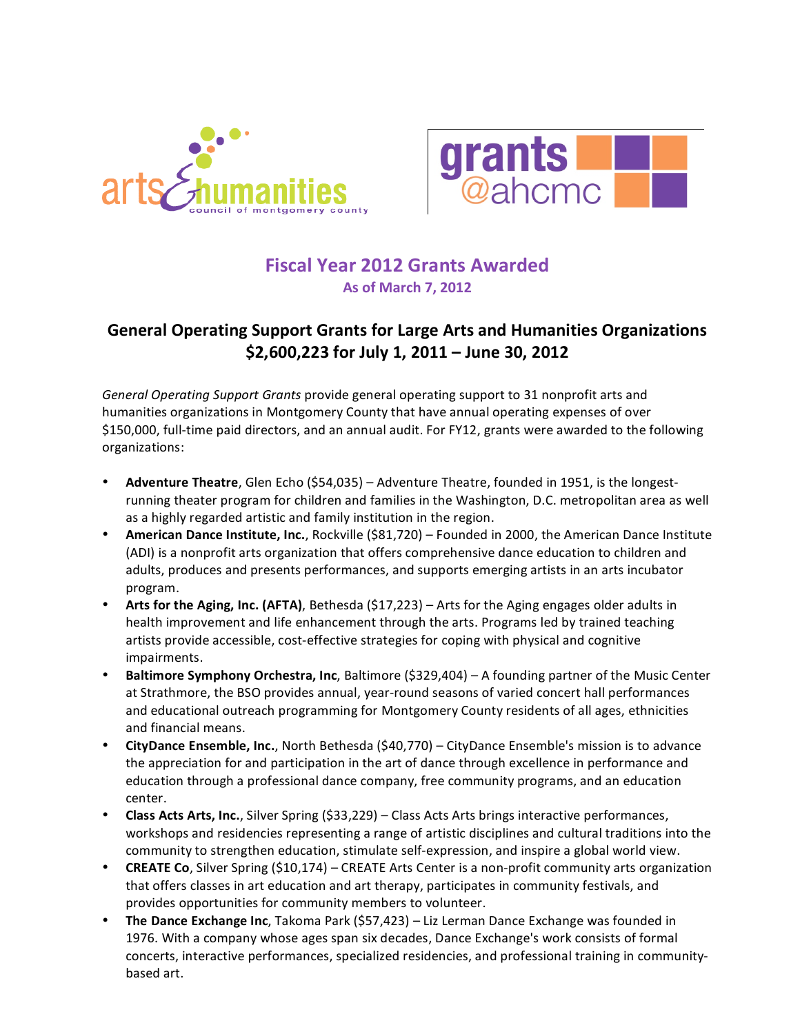



# **Fiscal Year 2012 Grants Awarded As of March 7, 2012**

#### **General Operating Support Grants for Large Arts and Humanities Organizations \$2,600,223 for July 1, 2011 – June 30, 2012**

*General Operating Support Grants* provide general operating support to 31 nonprofit arts and humanities organizations in Montgomery County that have annual operating expenses of over \$150,000, full-time paid directors, and an annual audit. For FY12, grants were awarded to the following organizations:

- **Adventure Theatre**, Glen Echo (\$54,035) Adventure Theatre, founded in 1951, is the longest‐ running theater program for children and families in the Washington, D.C. metropolitan area as well as a highly regarded artistic and family institution in the region.
- **American Dance Institute, Inc.**, Rockville (\$81,720) Founded in 2000, the American Dance Institute (ADI) is a nonprofit arts organization that offers comprehensive dance education to children and adults, produces and presents performances, and supports emerging artists in an arts incubator program.
- **Arts for the Aging, Inc.
(AFTA)**, Bethesda (\$17,223) Arts for the Aging engages older adults in health improvement and life enhancement through the arts. Programs led by trained teaching artists provide accessible, cost‐effective strategies for coping with physical and cognitive impairments.
- **Baltimore Symphony Orchestra, Inc**, Baltimore (\$329,404) A founding partner of the Music Center at Strathmore, the BSO provides annual, year‐round seasons of varied concert hall performances and educational outreach programming for Montgomery County residents of all ages, ethnicities and financial means.
- **CityDance Ensemble, Inc.**, North Bethesda (\$40,770) CityDance Ensemble's mission is to advance the appreciation for and participation in the art of dance through excellence in performance and education through a professional dance company, free community programs, and an education center.
- **Class Acts Arts, Inc.**, Silver Spring (\$33,229) Class Acts Arts brings interactive performances, workshops and residencies representing a range of artistic disciplines and cultural traditions into the community to strengthen education, stimulate self‐expression, and inspire a global world view.
- **CREATE Co**, Silver Spring (\$10,174) CREATE Arts Center is a non‐profit community arts organization that offers classes in art education and art therapy, participates in community festivals, and provides opportunities for community members to volunteer.
- **The Dance Exchange Inc**, Takoma Park (\$57,423) Liz Lerman Dance Exchange was founded in 1976. With a company whose ages span six decades, Dance Exchange's work consists of formal concerts, interactive performances, specialized residencies, and professional training in community‐ based art.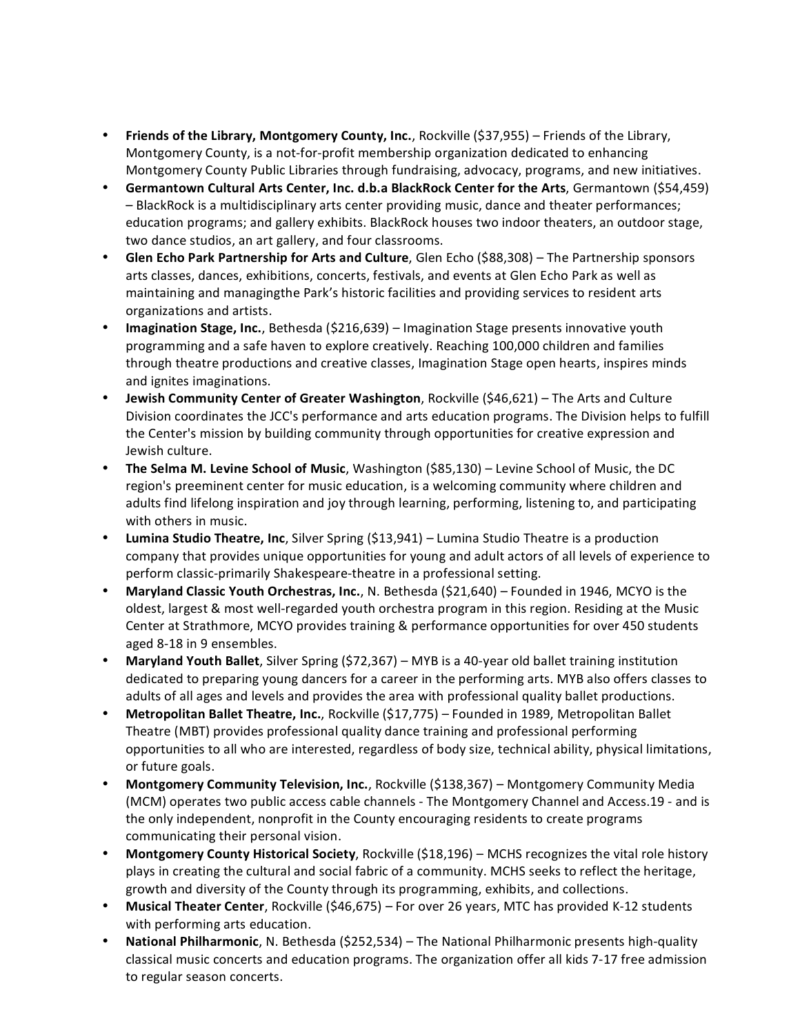- **Friends of the Library, Montgomery County, Inc.**, Rockville (\$37,955) Friends of the Library, Montgomery County, is a not‐for‐profit membership organization dedicated to enhancing Montgomery County Public Libraries through fundraising, advocacy, programs, and new initiatives.
- **Germantown Cultural Arts Center, Inc.
d.b.a BlackRock Center for the Arts**, Germantown (\$54,459) – BlackRock is a multidisciplinary arts center providing music, dance and theater performances; education programs; and gallery exhibits. BlackRock houses two indoor theaters, an outdoor stage, two dance studios, an art gallery, and four classrooms.
- **Glen Echo Park Partnership for Arts and Culture**, Glen Echo (\$88,308) The Partnership sponsors arts classes, dances, exhibitions, concerts, festivals, and events at Glen Echo Park as well as maintaining and managingthe Park's historic facilities and providing services to resident arts organizations and artists.
- **Imagination Stage, Inc.**, Bethesda (\$216,639) Imagination Stage presents innovative youth programming and a safe haven to explore creatively. Reaching 100,000 children and families through theatre productions and creative classes, Imagination Stage open hearts, inspires minds and ignites imaginations.
- **Jewish Community Center of Greater Washington**, Rockville (\$46,621) The Arts and Culture Division coordinates the JCC's performance and arts education programs. The Division helps to fulfill the Center's mission by building community through opportunities for creative expression and Jewish culture.
- **The Selma M. Levine School of Music**, Washington (\$85,130) Levine School of Music, the DC region's preeminent center for music education, is a welcoming community where children and adults find lifelong inspiration and joy through learning, performing, listening to, and participating with others in music.
- **Lumina Studio Theatre, Inc**, Silver Spring (\$13,941) Lumina Studio Theatre is a production company that provides unique opportunities for young and adult actors of all levels of experience to perform classic‐primarily Shakespeare‐theatre in a professional setting.
- **Maryland Classic Youth Orchestras, Inc.**, N. Bethesda (\$21,640) Founded in 1946, MCYO is the oldest, largest & most well‐regarded youth orchestra program in this region. Residing at the Music Center at Strathmore, MCYO provides training & performance opportunities for over 450 students aged 8‐18 in 9 ensembles.
- **Maryland Youth Ballet**, Silver Spring (\$72,367) MYB is a 40‐year old ballet training institution dedicated to preparing young dancers for a career in the performing arts. MYB also offers classes to adults of all ages and levels and provides the area with professional quality ballet productions.
- **Metropolitan Ballet Theatre, Inc.**, Rockville (\$17,775) Founded in 1989, Metropolitan Ballet Theatre (MBT) provides professional quality dance training and professional performing opportunities to all who are interested, regardless of body size, technical ability, physical limitations, or future goals.
- **Montgomery Community Television, Inc.**, Rockville (\$138,367) Montgomery Community Media (MCM) operates two public access cable channels ‐ The Montgomery Channel and Access.19 ‐ and is the only independent, nonprofit in the County encouraging residents to create programs communicating their personal vision.
- **Montgomery County Historical Society**, Rockville (\$18,196) MCHS recognizes the vital role history plays in creating the cultural and social fabric of a community. MCHS seeks to reflect the heritage, growth and diversity of the County through its programming, exhibits, and collections.
- **Musical Theater Center**, Rockville (\$46,675) For over 26 years, MTC has provided K‐12 students with performing arts education.
- **National Philharmonic**, N. Bethesda (\$252,534) The National Philharmonic presents high‐quality classical music concerts and education programs. The organization offer all kids 7‐17 free admission to regular season concerts.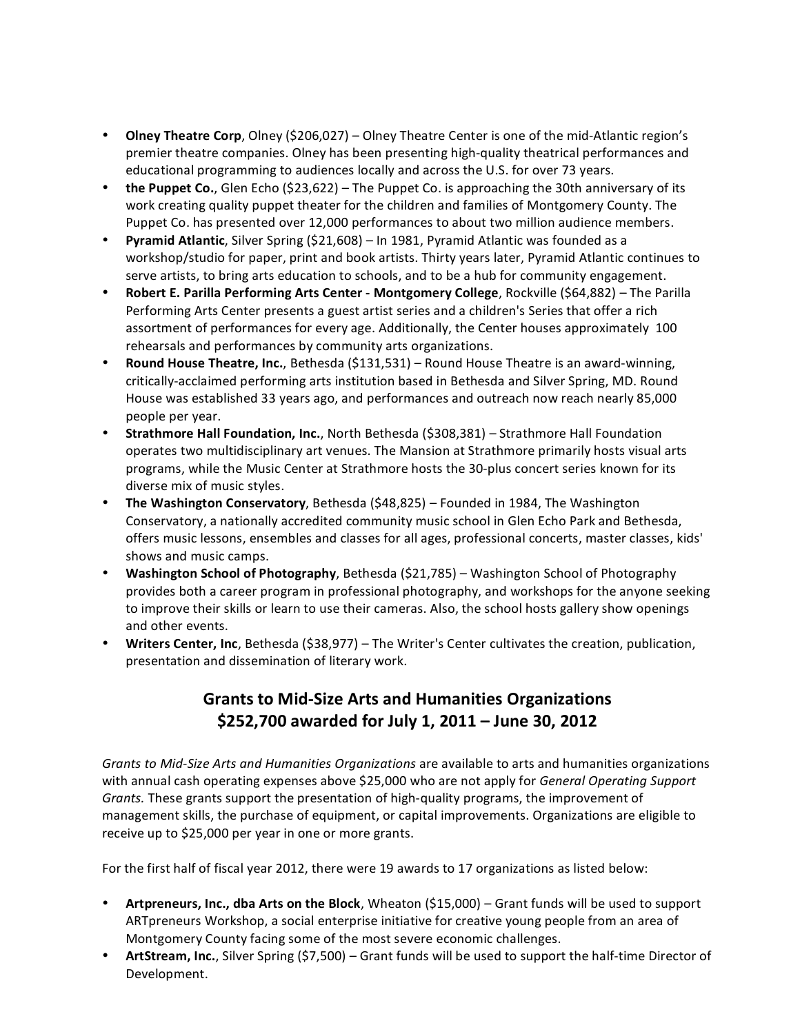- **Olney Theatre Corp**, Olney (\$206,027) Olney Theatre Center is one of the mid‐Atlantic region's premier theatre companies. Olney has been presenting high-quality theatrical performances and educational programming to audiences locally and across the U.S. for over 73 years.
- **the Puppet Co.**, Glen Echo (\$23,622) The Puppet Co. is approaching the 30th anniversary of its work creating quality puppet theater for the children and families of Montgomery County. The Puppet Co. has presented over 12,000 performances to about two million audience members.
- **Pyramid Atlantic**, Silver Spring (\$21,608) In 1981, Pyramid Atlantic was founded as a workshop/studio for paper, print and book artists. Thirty years later, Pyramid Atlantic continues to serve artists, to bring arts education to schools, and to be a hub for community engagement.
- **Robert E. Parilla Performing Arts Center ‐ Montgomery College**, Rockville (\$64,882) The Parilla Performing Arts Center presents a guest artist series and a children's Series that offer a rich assortment of performances for every age. Additionally, the Center houses approximately 100 rehearsals and performances by community arts organizations.
- **Round House Theatre, Inc.**, Bethesda (\$131,531) Round House Theatre is an award‐winning, critically‐acclaimed performing arts institution based in Bethesda and Silver Spring, MD. Round House was established 33 years ago, and performances and outreach now reach nearly 85,000 people per year.
- **Strathmore Hall Foundation, Inc.**, North Bethesda (\$308,381) Strathmore Hall Foundation operates two multidisciplinary art venues. The Mansion at Strathmore primarily hosts visual arts programs, while the Music Center at Strathmore hosts the 30‐plus concert series known for its diverse mix of music styles.
- **The Washington Conservatory**, Bethesda (\$48,825) Founded in 1984, The Washington Conservatory, a nationally accredited community music school in Glen Echo Park and Bethesda, offers music lessons, ensembles and classes for all ages, professional concerts, master classes, kids' shows and music camps.
- **Washington School of Photography**, Bethesda (\$21,785) Washington School of Photography provides both a career program in professional photography, and workshops for the anyone seeking to improve their skills or learn to use their cameras. Also, the school hosts gallery show openings and other events.
- **Writers Center, Inc**, Bethesda (\$38,977) The Writer's Center cultivates the creation, publication, presentation and dissemination of literary work.

### **Grants to Mid‐Size Arts and Humanities Organizations \$252,700 awarded for July 1, 2011 – June 30, 2012**

*Grants to Mid‐Size Arts and Humanities Organizations* are available to arts and humanities organizations with annual cash operating expenses above \$25,000 who are not apply for *General Operating Support Grants.* These grants support the presentation of high‐quality programs, the improvement of management skills, the purchase of equipment, or capital improvements. Organizations are eligible to receive up to \$25,000 per year in one or more grants.

For the first half of fiscal year 2012, there were 19 awards to 17 organizations as listed below:

- **Artpreneurs, Inc., dba Arts on the Block**, Wheaton (\$15,000) Grant funds will be used to support ARTpreneurs Workshop, a social enterprise initiative for creative young people from an area of Montgomery County facing some of the most severe economic challenges.
- **ArtStream, Inc.**, Silver Spring (\$7,500) Grant funds will be used to support the half‐time Director of Development.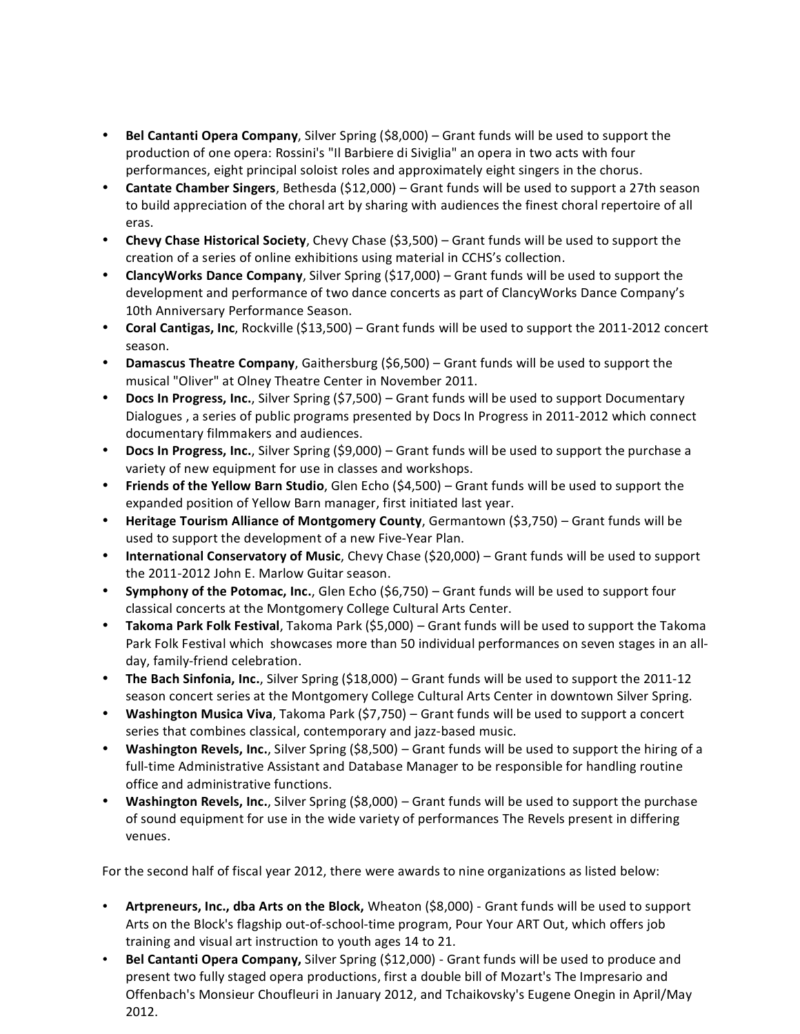- **Bel Cantanti Opera Company**, Silver Spring (\$8,000) Grant funds will be used to support the production of one opera: Rossini's "Il Barbiere di Siviglia" an opera in two acts with four performances, eight principal soloist roles and approximately eight singers in the chorus.
- **Cantate Chamber Singers**, Bethesda (\$12,000) Grant funds will be used to support a 27th season to build appreciation of the choral art by sharing with audiences the finest choral repertoire of all eras.
- **Chevy Chase Historical Society**, Chevy Chase (\$3,500) Grant funds will be used to support the creation of a series of online exhibitions using material in CCHS's collection.
- **ClancyWorks Dance Company**, Silver Spring (\$17,000) Grant funds will be used to support the development and performance of two dance concerts as part of ClancyWorks Dance Company's 10th Anniversary Performance Season.
- **Coral Cantigas, Inc**, Rockville (\$13,500) Grant funds will be used to support the 2011‐2012 concert season.
- **Damascus Theatre Company**, Gaithersburg (\$6,500) Grant funds will be used to support the musical "Oliver" at Olney Theatre Center in November 2011.
- **Docs In Progress, Inc.**, Silver Spring (\$7,500) Grant funds will be used to support Documentary Dialogues , a series of public programs presented by Docs In Progress in 2011‐2012 which connect documentary filmmakers and audiences.
- **Docs In Progress, Inc.**, Silver Spring (\$9,000) Grant funds will be used to support the purchase a variety of new equipment for use in classes and workshops.
- **Friends of the Yellow Barn Studio**, Glen Echo (\$4,500) Grant funds will be used to support the expanded position of Yellow Barn manager, first initiated last year.
- **Heritage Tourism Alliance of Montgomery County**, Germantown (\$3,750) Grant funds will be used to support the development of a new Five‐Year Plan.
- **International Conservatory of Music**, Chevy Chase (\$20,000) Grant funds will be used to support the 2011‐2012 John E. Marlow Guitar season.
- **Symphony of the Potomac, Inc.**, Glen Echo (\$6,750) Grant funds will be used to support four classical concerts at the Montgomery College Cultural Arts Center.
- **Takoma Park Folk Festival**, Takoma Park (\$5,000) Grant funds will be used to support the Takoma Park Folk Festival which showcases more than 50 individual performances on seven stages in an all‐ day, family‐friend celebration.
- **The Bach Sinfonia, Inc.**, Silver Spring (\$18,000) Grant funds will be used to support the 2011‐12 season concert series at the Montgomery College Cultural Arts Center in downtown Silver Spring.
- **Washington Musica Viva**, Takoma Park (\$7,750) Grant funds will be used to support a concert series that combines classical, contemporary and jazz-based music.
- **Washington Revels, Inc.**, Silver Spring (\$8,500) Grant funds will be used to support the hiring of a full-time Administrative Assistant and Database Manager to be responsible for handling routine office and administrative functions.
- **Washington Revels, Inc.**, Silver Spring (\$8,000) Grant funds will be used to support the purchase of sound equipment for use in the wide variety of performances The Revels present in differing venues.

For the second half of fiscal year 2012, there were awards to nine organizations as listed below:

- **Artpreneurs, Inc., dba Arts on the Block,** Wheaton (\$8,000) ‐ Grant funds will be used to support Arts on the Block's flagship out‐of‐school‐time program, Pour Your ART Out, which offers job training and visual art instruction to youth ages 14 to 21.
- **Bel Cantanti Opera Company,** Silver Spring (\$12,000) ‐ Grant funds will be used to produce and present two fully staged opera productions, first a double bill of Mozart's The Impresario and Offenbach's Monsieur Choufleuri in January 2012, and Tchaikovsky's Eugene Onegin in April/May 2012.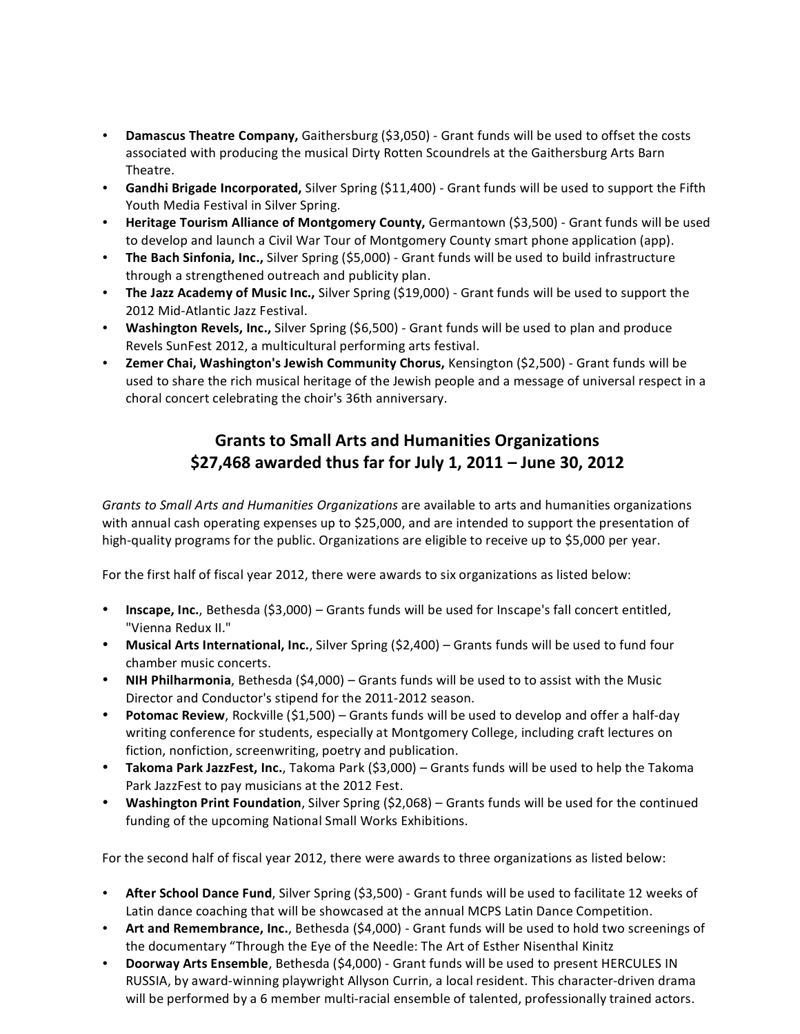- **Damascus Theatre Company,** Gaithersburg (\$3,050) ‐ Grant funds will be used to offset the costs associated with producing the musical Dirty Rotten Scoundrels at the Gaithersburg Arts Barn Theatre.
- **Gandhi Brigade Incorporated,** Silver Spring (\$11,400) ‐ Grant funds will be used to support the Fifth Youth Media Festival in Silver Spring.
- **Heritage Tourism Alliance of Montgomery County,** Germantown (\$3,500) ‐ Grant funds will be used to develop and launch a Civil War Tour of Montgomery County smart phone application (app).
- **The Bach Sinfonia, Inc.,** Silver Spring (\$5,000) ‐ Grant funds will be used to build infrastructure through a strengthened outreach and publicity plan.
- **The Jazz Academy of Music Inc.,** Silver Spring (\$19,000) ‐ Grant funds will be used to support the 2012 Mid‐Atlantic Jazz Festival.
- **Washington Revels, Inc.,** Silver Spring (\$6,500) ‐ Grant funds will be used to plan and produce Revels SunFest 2012, a multicultural performing arts festival.
- **Zemer Chai, Washington's Jewish Community Chorus,** Kensington (\$2,500) ‐ Grant funds will be used to share the rich musical heritage of the Jewish people and a message of universal respect in a choral concert celebrating the choir's 36th anniversary.

## **Grants to Small Arts and Humanities Organizations \$27,468 awarded thus far for July 1, 2011 – June 30, 2012**

*Grants to Small Arts and Humanities Organizations* are available to arts and humanities organizations with annual cash operating expenses up to \$25,000, and are intended to support the presentation of high-quality programs for the public. Organizations are eligible to receive up to \$5,000 per year.

For the first half of fiscal year 2012, there were awards to six organizations as listed below:

- **Inscape, Inc.**, Bethesda (\$3,000) Grants funds will be used for Inscape's fall concert entitled, "Vienna Redux II."
- **Musical Arts International, Inc.**, Silver Spring (\$2,400) Grants funds will be used to fund four chamber music concerts.
- **NIH Philharmonia**, Bethesda (\$4,000) Grants funds will be used to to assist with the Music Director and Conductor's stipend for the 2011‐2012 season.
- **Potomac Review**, Rockville (\$1,500) Grants funds will be used to develop and offer a half‐day writing conference for students, especially at Montgomery College, including craft lectures on fiction, nonfiction, screenwriting, poetry and publication.
- **Takoma Park JazzFest, Inc.**, Takoma Park (\$3,000) Grants funds will be used to help the Takoma Park JazzFest to pay musicians at the 2012 Fest.
- **Washington Print Foundation**, Silver Spring (\$2,068) Grants funds will be used for the continued funding of the upcoming National Small Works Exhibitions.

For the second half of fiscal year 2012, there were awards to three organizations as listed below:

- **After School Dance Fund**, Silver Spring (\$3,500) ‐ Grant funds will be used to facilitate 12 weeks of Latin dance coaching that will be showcased at the annual MCPS Latin Dance Competition.
- **Art and Remembrance, Inc.**, Bethesda (\$4,000) ‐ Grant funds will be used to hold two screenings of the documentary "Through the Eye of the Needle: The Art of Esther Nisenthal Kinitz
- **Doorway Arts Ensemble**, Bethesda (\$4,000) ‐ Grant funds will be used to present HERCULES IN RUSSIA, by award‐winning playwright Allyson Currin, a local resident. This character‐driven drama will be performed by a 6 member multi-racial ensemble of talented, professionally trained actors.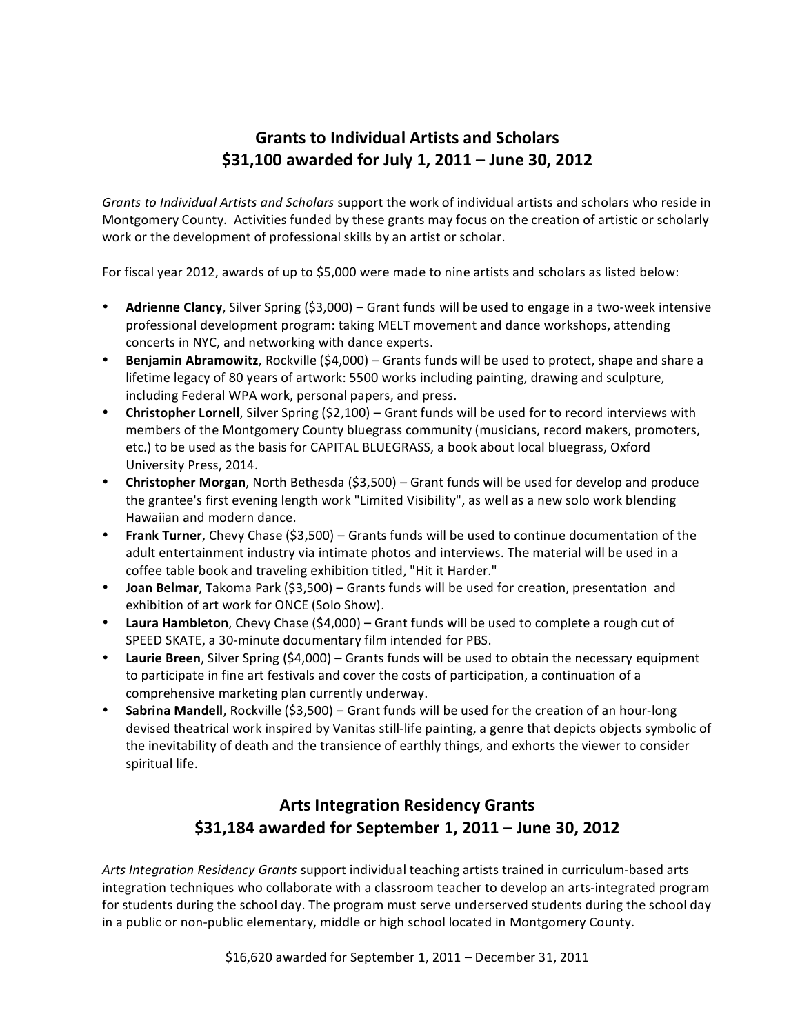### **Grants to Individual Artists and Scholars \$31,100 awarded for July 1, 2011 – June 30, 2012**

*Grants to Individual Artists and Scholars* support the work of individual artists and scholars who reside in Montgomery County. Activities funded by these grants may focus on the creation of artistic or scholarly work or the development of professional skills by an artist or scholar.

For fiscal year 2012, awards of up to \$5,000 were made to nine artists and scholars as listed below:

- **Adrienne Clancy**, Silver Spring (\$3,000) Grant funds will be used to engage in a two‐week intensive professional development program: taking MELT movement and dance workshops, attending concerts in NYC, and networking with dance experts.
- **Benjamin Abramowitz**, Rockville (\$4,000) Grants funds will be used to protect, shape and share a lifetime legacy of 80 years of artwork: 5500 works including painting, drawing and sculpture, including Federal WPA work, personal papers, and press.
- **Christopher Lornell**, Silver Spring (\$2,100) Grant funds will be used for to record interviews with members of the Montgomery County bluegrass community (musicians, record makers, promoters, etc.) to be used as the basis for CAPITAL BLUEGRASS, a book about local bluegrass, Oxford University Press, 2014.
- **Christopher Morgan**, North Bethesda (\$3,500) Grant funds will be used for develop and produce the grantee's first evening length work "Limited Visibility", as well as a new solo work blending Hawaiian and modern dance.
- **Frank Turner**, Chevy Chase (\$3,500) Grants funds will be used to continue documentation of the adult entertainment industry via intimate photos and interviews. The material will be used in a coffee table book and traveling exhibition titled, "Hit it Harder."
- **Joan Belmar**, Takoma Park (\$3,500) Grants funds will be used for creation, presentation and exhibition of art work for ONCE (Solo Show).
- **Laura Hambleton**, Chevy Chase (\$4,000) Grant funds will be used to complete a rough cut of SPEED SKATE, a 30‐minute documentary film intended for PBS.
- **Laurie Breen**, Silver Spring (\$4,000) Grants funds will be used to obtain the necessary equipment to participate in fine art festivals and cover the costs of participation, a continuation of a comprehensive marketing plan currently underway.
- **Sabrina Mandell**, Rockville (\$3,500) Grant funds will be used for the creation of an hour‐long devised theatrical work inspired by Vanitas still‐life painting, a genre that depicts objects symbolic of the inevitability of death and the transience of earthly things, and exhorts the viewer to consider spiritual life.

### **Arts Integration Residency Grants \$31,184 awarded for September 1, 2011 – June 30, 2012**

*Arts Integration Residency Grants* support individual teaching artists trained in curriculum‐based arts integration techniques who collaborate with a classroom teacher to develop an arts-integrated program for students during the school day. The program must serve underserved students during the school day in a public or non‐public elementary, middle or high school located in Montgomery County.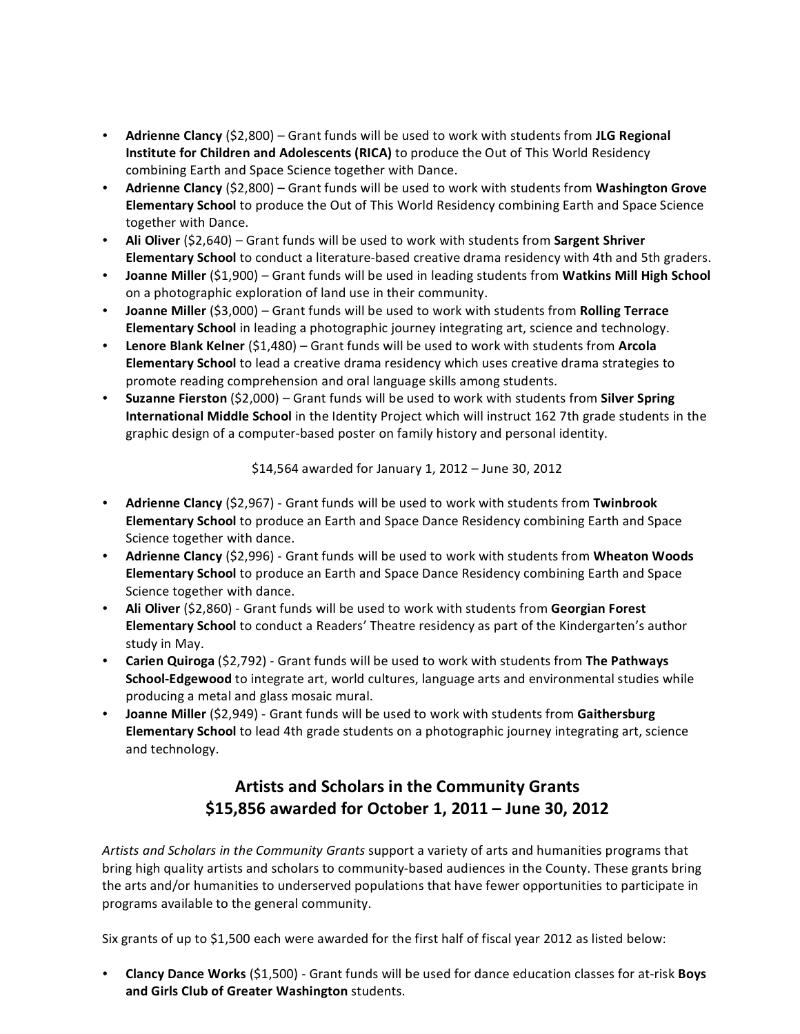- **Adrienne Clancy** (\$2,800) Grant funds will be used to work with students from **JLG Regional Institute for Children and Adolescents (RICA)** to produce the Out of This World Residency combining Earth and Space Science together with Dance.
- **Adrienne Clancy** (\$2,800) Grant funds will be used to work with students from **Washington Grove Elementary School** to produce the Out of This World Residency combining Earth and Space Science together with Dance.
- **Ali Oliver** (\$2,640) Grant funds will be used to work with students from **Sargent Shriver Elementary School** to conduct a literature‐based creative drama residency with 4th and 5th graders.
- **Joanne Miller** (\$1,900) Grant funds will be used in leading students from **Watkins Mill High School** on a photographic exploration of land use in their community.
- **Joanne Miller** (\$3,000) Grant funds will be used to work with students from **Rolling Terrace Elementary School** in leading a photographic journey integrating art, science and technology.
- **Lenore Blank Kelner** (\$1,480) Grant funds will be used to work with students from **Arcola Elementary School** to lead a creative drama residency which uses creative drama strategies to promote reading comprehension and oral language skills among students.
- **Suzanne Fierston** (\$2,000) Grant funds will be used to work with students from **Silver Spring International Middle School** in the Identity Project which will instruct 162 7th grade students in the graphic design of a computer‐based poster on family history and personal identity.

\$14,564 awarded for January 1, 2012 – June 30, 2012

- **Adrienne Clancy** (\$2,967) ‐ Grant funds will be used to work with students from **Twinbrook Elementary School** to produce an Earth and Space Dance Residency combining Earth and Space Science together with dance.
- **Adrienne Clancy** (\$2,996) ‐ Grant funds will be used to work with students from **Wheaton Woods Elementary School** to produce an Earth and Space Dance Residency combining Earth and Space Science together with dance.
- **Ali Oliver** (\$2,860) ‐ Grant funds will be used to work with students from **Georgian Forest Elementary School** to conduct a Readers' Theatre residency as part of the Kindergarten's author study in May.
- **Carien Quiroga** (\$2,792) ‐ Grant funds will be used to work with students from **The Pathways School‐Edgewood** to integrate art, world cultures, language arts and environmental studies while producing a metal and glass mosaic mural.
- **Joanne Miller** (\$2,949) ‐ Grant funds will be used to work with students from **Gaithersburg Elementary School** to lead 4th grade students on a photographic journey integrating art, science and technology.

# **Artists and Scholars in the Community Grants \$15,856 awarded for October 1, 2011 – June 30, 2012**

*Artists and Scholars in the Community Grants* support a variety of arts and humanities programs that bring high quality artists and scholars to community‐based audiences in the County. These grants bring the arts and/or humanities to underserved populations that have fewer opportunities to participate in programs available to the general community.

Six grants of up to \$1,500 each were awarded for the first half of fiscal year 2012 as listed below:

• **Clancy Dance Works** (\$1,500) ‐ Grant funds will be used for dance education classes for at‐risk **Boys and Girls Club of Greater Washington** students.